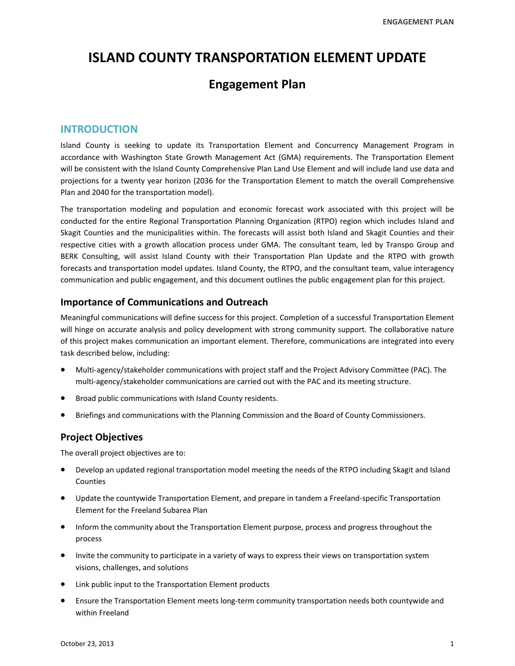# **ISLAND COUNTY TRANSPORTATION ELEMENT UPDATE**

## **Engagement Plan**

## **INTRODUCTION**

Island County is seeking to update its Transportation Element and Concurrency Management Program in accordance with Washington State Growth Management Act (GMA) requirements. The Transportation Element will be consistent with the Island County Comprehensive Plan Land Use Element and will include land use data and projections for a twenty year horizon (2036 for the Transportation Element to match the overall Comprehensive Plan and 2040 for the transportation model).

The transportation modeling and population and economic forecast work associated with this project will be conducted for the entire Regional Transportation Planning Organization (RTPO) region which includes Island and Skagit Counties and the municipalities within. The forecasts will assist both Island and Skagit Counties and their respective cities with a growth allocation process under GMA. The consultant team, led by Transpo Group and BERK Consulting, will assist Island County with their Transportation Plan Update and the RTPO with growth forecasts and transportation model updates. Island County, the RTPO, and the consultant team, value interagency communication and public engagement, and this document outlines the public engagement plan for this project.

## **Importance of Communications and Outreach**

Meaningful communications will define success for this project. Completion of a successful Transportation Element will hinge on accurate analysis and policy development with strong community support. The collaborative nature of this project makes communication an important element. Therefore, communications are integrated into every task described below, including:

- Multi‐agency/stakeholder communications with project staff and the Project Advisory Committee (PAC). The multi-agency/stakeholder communications are carried out with the PAC and its meeting structure.
- Broad public communications with Island County residents.
- Briefings and communications with the Planning Commission and the Board of County Commissioners.

## **Project Objectives**

The overall project objectives are to:

- Develop an updated regional transportation model meeting the needs of the RTPO including Skagit and Island Counties
- Update the countywide Transportation Element, and prepare in tandem a Freeland-specific Transportation Element for the Freeland Subarea Plan
- **•** Inform the community about the Transportation Element purpose, process and progress throughout the process
- Invite the community to participate in a variety of ways to express their views on transportation system visions, challenges, and solutions
- Link public input to the Transportation Element products
- Ensure the Transportation Element meets long-term community transportation needs both countywide and within Freeland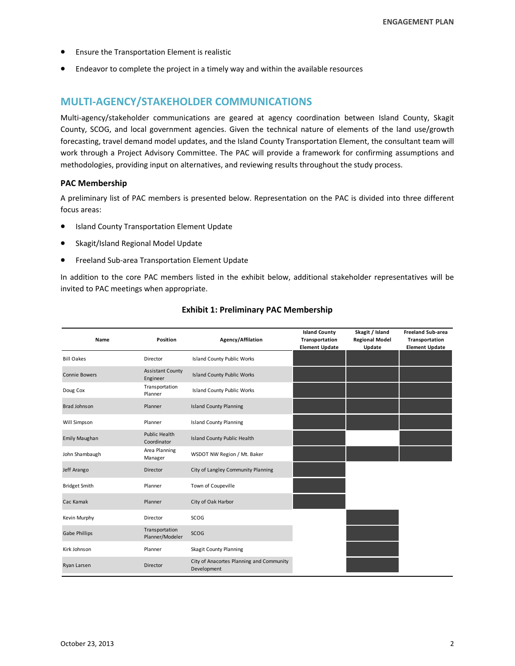- Ensure the Transportation Element is realistic
- Endeavor to complete the project in a timely way and within the available resources

## **MULTI‐AGENCY/STAKEHOLDER COMMUNICATIONS**

Multi-agency/stakeholder communications are geared at agency coordination between Island County, Skagit County, SCOG, and local government agencies. Given the technical nature of elements of the land use/growth forecasting, travel demand model updates, and the Island County Transportation Element, the consultant team will work through a Project Advisory Committee. The PAC will provide a framework for confirming assumptions and methodologies, providing input on alternatives, and reviewing results throughout the study process.

#### **PAC Membership**

A preliminary list of PAC members is presented below. Representation on the PAC is divided into three different focus areas:

- Island County Transportation Element Update
- Skagit/Island Regional Model Update
- Freeland Sub‐area Transportation Element Update

In addition to the core PAC members listed in the exhibit below, additional stakeholder representatives will be invited to PAC meetings when appropriate.

| Name                 | Position                            | Agency/Affilation                                       | <b>Island County</b><br>Transportation | Skagit / Island<br><b>Regional Model</b> | <b>Freeland Sub-area</b><br>Transportation |
|----------------------|-------------------------------------|---------------------------------------------------------|----------------------------------------|------------------------------------------|--------------------------------------------|
|                      |                                     |                                                         | <b>Element Update</b>                  | Update                                   | <b>Element Update</b>                      |
| <b>Bill Oakes</b>    | Director                            | <b>Island County Public Works</b>                       |                                        |                                          |                                            |
| <b>Connie Bowers</b> | <b>Assistant County</b><br>Engineer | <b>Island County Public Works</b>                       |                                        |                                          |                                            |
| Doug Cox             | Transportation<br>Planner           | <b>Island County Public Works</b>                       |                                        |                                          |                                            |
| <b>Brad Johnson</b>  | Planner                             | <b>Island County Planning</b>                           |                                        |                                          |                                            |
| Will Simpson         | Planner                             | <b>Island County Planning</b>                           |                                        |                                          |                                            |
| Emily Maughan        | <b>Public Health</b><br>Coordinator | <b>Island County Public Health</b>                      |                                        |                                          |                                            |
| John Shambaugh       | Area Planning<br>Manager            | WSDOT NW Region / Mt. Baker                             |                                        |                                          |                                            |
| Jeff Arango          | Director                            | City of Langley Community Planning                      |                                        |                                          |                                            |
| <b>Bridget Smith</b> | Planner                             | Town of Coupeville                                      |                                        |                                          |                                            |
| Cac Kamak            | Planner                             | City of Oak Harbor                                      |                                        |                                          |                                            |
| Kevin Murphy         | Director                            | SCOG                                                    |                                        |                                          |                                            |
| Gabe Phillips        | Transportation<br>Planner/Modeler   | SCOG                                                    |                                        |                                          |                                            |
| Kirk Johnson         | Planner                             | <b>Skagit County Planning</b>                           |                                        |                                          |                                            |
| Ryan Larsen          | Director                            | City of Anacortes Planning and Community<br>Development |                                        |                                          |                                            |

#### **Exhibit 1: Preliminary PAC Membership**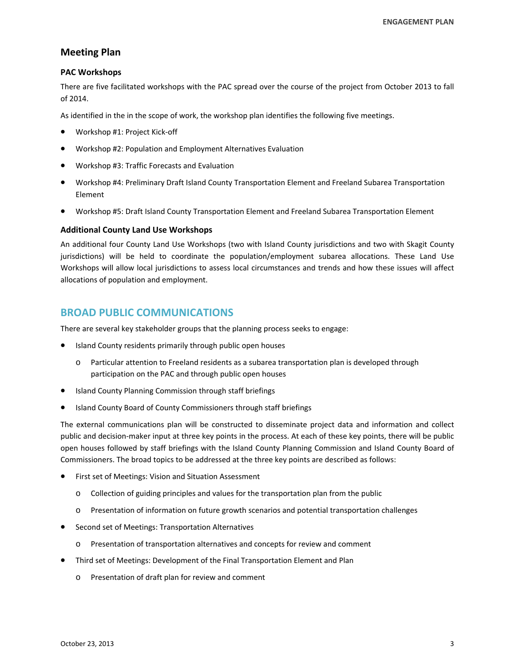## **Meeting Plan**

#### **PAC Workshops**

There are five facilitated workshops with the PAC spread over the course of the project from October 2013 to fall of 2014.

As identified in the in the scope of work, the workshop plan identifies the following five meetings.

- Workshop #1: Project Kick‐off
- Workshop #2: Population and Employment Alternatives Evaluation
- Workshop #3: Traffic Forecasts and Evaluation
- Workshop #4: Preliminary Draft Island County Transportation Element and Freeland Subarea Transportation Element
- Workshop #5: Draft Island County Transportation Element and Freeland Subarea Transportation Element

#### **Additional County Land Use Workshops**

An additional four County Land Use Workshops (two with Island County jurisdictions and two with Skagit County jurisdictions) will be held to coordinate the population/employment subarea allocations. These Land Use Workshops will allow local jurisdictions to assess local circumstances and trends and how these issues will affect allocations of population and employment.

## **BROAD PUBLIC COMMUNICATIONS**

There are several key stakeholder groups that the planning process seeks to engage:

- Island County residents primarily through public open houses
	- o Particular attention to Freeland residents as a subarea transportation plan is developed through participation on the PAC and through public open houses
- Island County Planning Commission through staff briefings
- Island County Board of County Commissioners through staff briefings

The external communications plan will be constructed to disseminate project data and information and collect public and decision‐maker input at three key points in the process. At each of these key points, there will be public open houses followed by staff briefings with the Island County Planning Commission and Island County Board of Commissioners. The broad topics to be addressed at the three key points are described as follows:

- First set of Meetings: Vision and Situation Assessment
	- o Collection of guiding principles and values for the transportation plan from the public
	- o Presentation of information on future growth scenarios and potential transportation challenges
- Second set of Meetings: Transportation Alternatives
	- o Presentation of transportation alternatives and concepts for review and comment
- Third set of Meetings: Development of the Final Transportation Element and Plan
	- o Presentation of draft plan for review and comment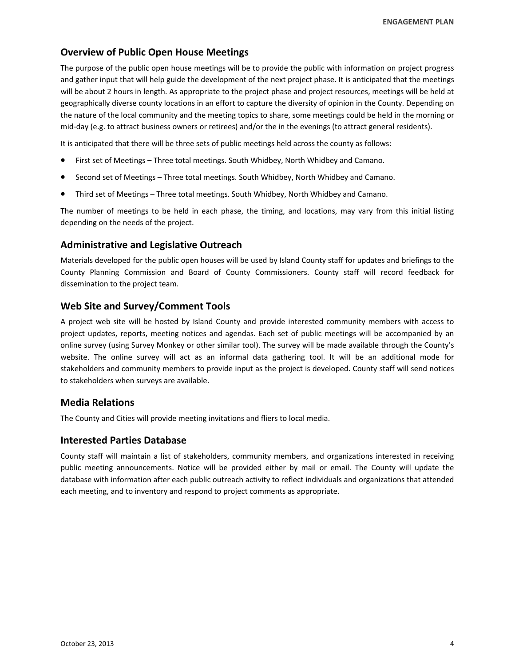## **Overview of Public Open House Meetings**

The purpose of the public open house meetings will be to provide the public with information on project progress and gather input that will help guide the development of the next project phase. It is anticipated that the meetings will be about 2 hours in length. As appropriate to the project phase and project resources, meetings will be held at geographically diverse county locations in an effort to capture the diversity of opinion in the County. Depending on the nature of the local community and the meeting topics to share, some meetings could be held in the morning or mid‐day (e.g. to attract business owners or retirees) and/or the in the evenings (to attract general residents).

It is anticipated that there will be three sets of public meetings held across the county as follows:

- First set of Meetings Three total meetings. South Whidbey, North Whidbey and Camano.
- Second set of Meetings Three total meetings. South Whidbey, North Whidbey and Camano.
- Third set of Meetings Three total meetings. South Whidbey, North Whidbey and Camano.

The number of meetings to be held in each phase, the timing, and locations, may vary from this initial listing depending on the needs of the project.

## **Administrative and Legislative Outreach**

Materials developed for the public open houses will be used by Island County staff for updates and briefings to the County Planning Commission and Board of County Commissioners. County staff will record feedback for dissemination to the project team.

## **Web Site and Survey/Comment Tools**

A project web site will be hosted by Island County and provide interested community members with access to project updates, reports, meeting notices and agendas. Each set of public meetings will be accompanied by an online survey (using Survey Monkey or other similar tool). The survey will be made available through the County's website. The online survey will act as an informal data gathering tool. It will be an additional mode for stakeholders and community members to provide input as the project is developed. County staff will send notices to stakeholders when surveys are available.

## **Media Relations**

The County and Cities will provide meeting invitations and fliers to local media.

## **Interested Parties Database**

County staff will maintain a list of stakeholders, community members, and organizations interested in receiving public meeting announcements. Notice will be provided either by mail or email. The County will update the database with information after each public outreach activity to reflect individuals and organizations that attended each meeting, and to inventory and respond to project comments as appropriate.